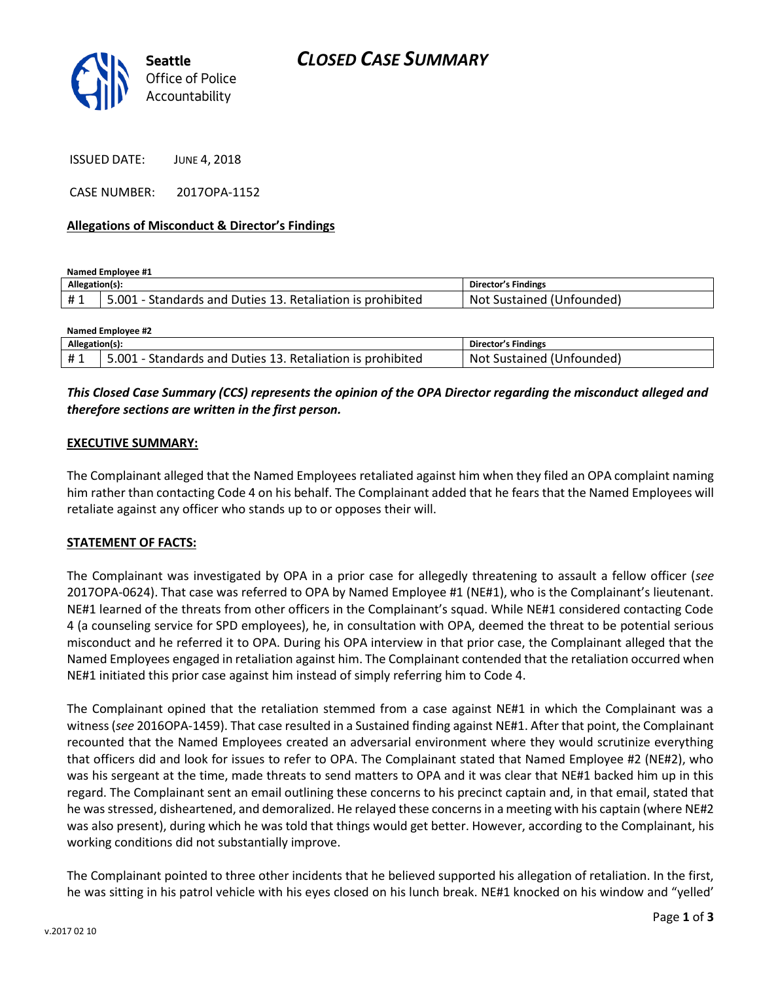

ISSUED DATE: JUNE 4, 2018

CASE NUMBER: 2017OPA-1152

#### **Allegations of Misconduct & Director's Findings**

**Named Employee #1**

| Allegation(s): |                                                                                      | <b>Director's Findings</b>        |
|----------------|--------------------------------------------------------------------------------------|-----------------------------------|
| #1             | is prohibited<br>001<br>Retaliation <sup>.</sup><br>' Duties 13.<br>-Standards and - | Not<br>Sustained (1<br>Unfounded) |

| <b>Named Employee #2</b> |                                                            |                           |  |
|--------------------------|------------------------------------------------------------|---------------------------|--|
| Allegation(s):           |                                                            | Director's Findings       |  |
| #1                       | 5.001 - Standards and Duties 13. Retaliation is prohibited | Not Sustained (Unfounded) |  |

## *This Closed Case Summary (CCS) represents the opinion of the OPA Director regarding the misconduct alleged and therefore sections are written in the first person.*

#### **EXECUTIVE SUMMARY:**

The Complainant alleged that the Named Employees retaliated against him when they filed an OPA complaint naming him rather than contacting Code 4 on his behalf. The Complainant added that he fears that the Named Employees will retaliate against any officer who stands up to or opposes their will.

#### **STATEMENT OF FACTS:**

The Complainant was investigated by OPA in a prior case for allegedly threatening to assault a fellow officer (*see* 2017OPA-0624). That case was referred to OPA by Named Employee #1 (NE#1), who is the Complainant's lieutenant. NE#1 learned of the threats from other officers in the Complainant's squad. While NE#1 considered contacting Code 4 (a counseling service for SPD employees), he, in consultation with OPA, deemed the threat to be potential serious misconduct and he referred it to OPA. During his OPA interview in that prior case, the Complainant alleged that the Named Employees engaged in retaliation against him. The Complainant contended that the retaliation occurred when NE#1 initiated this prior case against him instead of simply referring him to Code 4.

The Complainant opined that the retaliation stemmed from a case against NE#1 in which the Complainant was a witness (*see* 2016OPA-1459). That case resulted in a Sustained finding against NE#1. After that point, the Complainant recounted that the Named Employees created an adversarial environment where they would scrutinize everything that officers did and look for issues to refer to OPA. The Complainant stated that Named Employee #2 (NE#2), who was his sergeant at the time, made threats to send matters to OPA and it was clear that NE#1 backed him up in this regard. The Complainant sent an email outlining these concerns to his precinct captain and, in that email, stated that he was stressed, disheartened, and demoralized. He relayed these concerns in a meeting with his captain (where NE#2 was also present), during which he was told that things would get better. However, according to the Complainant, his working conditions did not substantially improve.

The Complainant pointed to three other incidents that he believed supported his allegation of retaliation. In the first, he was sitting in his patrol vehicle with his eyes closed on his lunch break. NE#1 knocked on his window and "yelled'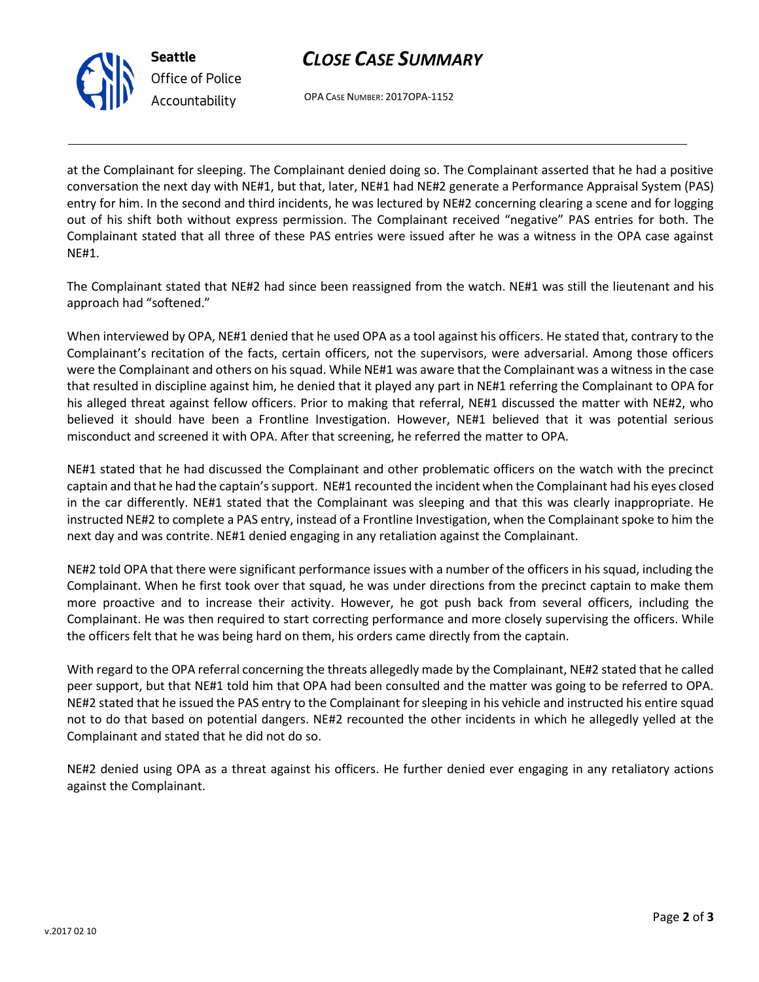



OPA CASE NUMBER: 2017OPA-1152

at the Complainant for sleeping. The Complainant denied doing so. The Complainant asserted that he had a positive conversation the next day with NE#1, but that, later, NE#1 had NE#2 generate a Performance Appraisal System (PAS) entry for him. In the second and third incidents, he was lectured by NE#2 concerning clearing a scene and for logging out of his shift both without express permission. The Complainant received "negative" PAS entries for both. The Complainant stated that all three of these PAS entries were issued after he was a witness in the OPA case against NE#1.

The Complainant stated that NE#2 had since been reassigned from the watch. NE#1 was still the lieutenant and his approach had "softened."

When interviewed by OPA, NE#1 denied that he used OPA as a tool against his officers. He stated that, contrary to the Complainant's recitation of the facts, certain officers, not the supervisors, were adversarial. Among those officers were the Complainant and others on his squad. While NE#1 was aware that the Complainant was a witness in the case that resulted in discipline against him, he denied that it played any part in NE#1 referring the Complainant to OPA for his alleged threat against fellow officers. Prior to making that referral, NE#1 discussed the matter with NE#2, who believed it should have been a Frontline Investigation. However, NE#1 believed that it was potential serious misconduct and screened it with OPA. After that screening, he referred the matter to OPA.

NE#1 stated that he had discussed the Complainant and other problematic officers on the watch with the precinct captain and that he had the captain's support. NE#1 recounted the incident when the Complainant had his eyes closed in the car differently. NE#1 stated that the Complainant was sleeping and that this was clearly inappropriate. He instructed NE#2 to complete a PAS entry, instead of a Frontline Investigation, when the Complainant spoke to him the next day and was contrite. NE#1 denied engaging in any retaliation against the Complainant.

NE#2 told OPA that there were significant performance issues with a number of the officers in his squad, including the Complainant. When he first took over that squad, he was under directions from the precinct captain to make them more proactive and to increase their activity. However, he got push back from several officers, including the Complainant. He was then required to start correcting performance and more closely supervising the officers. While the officers felt that he was being hard on them, his orders came directly from the captain.

With regard to the OPA referral concerning the threats allegedly made by the Complainant, NE#2 stated that he called peer support, but that NE#1 told him that OPA had been consulted and the matter was going to be referred to OPA. NE#2 stated that he issued the PAS entry to the Complainant for sleeping in his vehicle and instructed his entire squad not to do that based on potential dangers. NE#2 recounted the other incidents in which he allegedly yelled at the Complainant and stated that he did not do so.

NE#2 denied using OPA as a threat against his officers. He further denied ever engaging in any retaliatory actions against the Complainant.